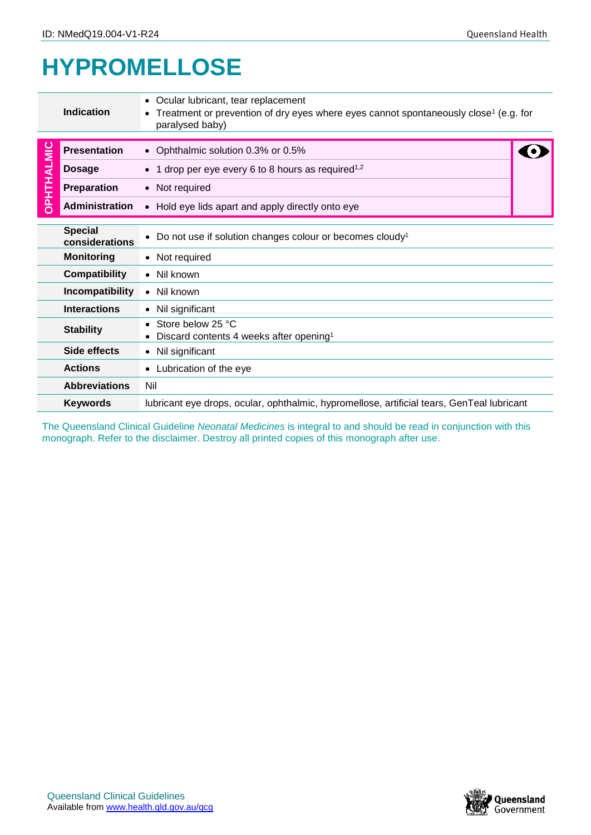## **HYPROMELLOSE**

| <b>Indication</b> |                                                                                                               | • Ocular lubricant, tear replacement<br>• Treatment or prevention of dry eyes where eyes cannot spontaneously close <sup>1</sup> (e.g. for<br>paralysed baby)                                                  |  |  |  |  |
|-------------------|---------------------------------------------------------------------------------------------------------------|----------------------------------------------------------------------------------------------------------------------------------------------------------------------------------------------------------------|--|--|--|--|
| <b>OPHTHALMIC</b> | <b>Presentation</b>                                                                                           | • Ophthalmic solution 0.3% or 0.5%                                                                                                                                                                             |  |  |  |  |
|                   | <b>Dosage</b>                                                                                                 | • 1 drop per eye every 6 to 8 hours as required <sup>1,2</sup>                                                                                                                                                 |  |  |  |  |
|                   | <b>Preparation</b>                                                                                            | • Not required                                                                                                                                                                                                 |  |  |  |  |
|                   | <b>Administration</b>                                                                                         | • Hold eye lids apart and apply directly onto eye                                                                                                                                                              |  |  |  |  |
|                   | <b>Special</b><br>considerations                                                                              | Do not use if solution changes colour or becomes cloudy <sup>1</sup>                                                                                                                                           |  |  |  |  |
|                   | <b>Monitoring</b>                                                                                             | • Not required                                                                                                                                                                                                 |  |  |  |  |
|                   | <b>Compatibility</b>                                                                                          | • Nil known                                                                                                                                                                                                    |  |  |  |  |
|                   | Incompatibility                                                                                               | $\bullet$ Nil known                                                                                                                                                                                            |  |  |  |  |
|                   | <b>Interactions</b>                                                                                           | • Nil significant                                                                                                                                                                                              |  |  |  |  |
|                   | <b>Stability</b>                                                                                              | • Store below 25 °C<br>Discard contents 4 weeks after opening <sup>1</sup>                                                                                                                                     |  |  |  |  |
|                   | Side effects                                                                                                  | • Nil significant                                                                                                                                                                                              |  |  |  |  |
|                   | <b>Actions</b>                                                                                                | • Lubrication of the eye                                                                                                                                                                                       |  |  |  |  |
|                   | <b>Abbreviations</b>                                                                                          | Nil                                                                                                                                                                                                            |  |  |  |  |
|                   | lubricant eye drops, ocular, ophthalmic, hypromellose, artificial tears, GenTeal lubricant<br><b>Keywords</b> |                                                                                                                                                                                                                |  |  |  |  |
|                   |                                                                                                               | The Queensland Clinical Guideline Neonatal Medicines is integral to and should be read in conjunction with this<br>monograph. Refer to the disclaimer. Destroy all printed copies of this monograph after use. |  |  |  |  |